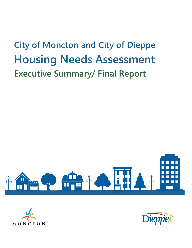# **City of Moncton and City of Dieppe Housing Needs Assessment Executive Summary/ Final Report**





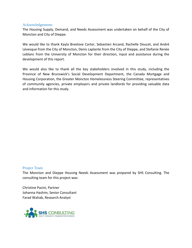#### Acknowledgements

The Housing Supply, Demand, and Needs Assessment was undertaken on behalf of the City of Moncton and City of Dieppe.

We would like to thank Kayla Breelove Carter, Sebastien Arcand, Rachelle Doucet, and André Lévesque from the City of Moncton, Denis Laplante from the City of Dieppe, and Stefanie Renée Leblanc from the University of Moncton for their direction, input and assistance during the development of this report.

We would also like to thank all the key stakeholders involved in this study, including the Province of New Brunswick's Social Development Department, the Canada Mortgage and Housing Corporation, the Greater Moncton Homelessness Steering Committee, representatives of community agencies, private employers and private landlords for providing valuable data and information for this study.

#### Project Team

The Moncton and Dieppe Housing Needs Assessment was prepared by SHS Consulting. The consulting team for this project was:

Christine Pacini, Partner Johanna Hashim, Senior Consultant Farad Wahab, Research Analyst

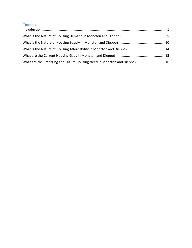#### **Contents**

| What are the Emerging and Future Housing Need in Moncton and Dieppe?  16 |  |
|--------------------------------------------------------------------------|--|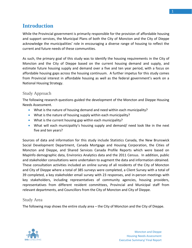<span id="page-4-0"></span>While the Provincial government is primarily responsible for the provision of affordable housing and support services, the Municipal Plans of both the City of Moncton and the City of Dieppe acknowledge the municipalities' role in encouraging a diverse range of housing to reflect the current and future needs of these communities.

As such, the primary goal of this study was to identify the housing requirements in the City of Moncton and the City of Dieppe based on the current housing demand and supply, and estimate future housing supply and demand over a five and ten year period, with a focus on affordable housing gaps across the housing continuum. A further impetus for this study comes from Provincial interest in affordable housing as well as the federal government's work on a National Housing Strategy.

## Study Approach

The following research questions guided the development of the Moncton and Dieppe Housing Needs Assessment.

- What is the nature of housing demand and need within each municipality?
- What is the nature of housing supply within each municipality?
- What is the current housing gap within each municipality?
- What will each municipality's housing supply and demand/ need look like in the next five and ten years?

Sources of data and information for this study include Statistics Canada, the New Brunswick Social Development Department, Canada Mortgage and Housing Corporation, the Cities of Moncton and Dieppe, and Shared Services Canada Profile Reports which were based on MapInfo demographic data, Environics Analytics data and the 2011 Census. In addition, public and stakeholder consultations were undertaken to augment the data and information obtained. These consultation activities included an online survey of all residents of the City of Moncton and City of Dieppe where a total of 385 surveys were completed, a Client Survey with a total of 39 completed, a key stakeholder email survey with 23 responses, and in-person meetings with key stakeholders, including representatives of community agencies, housing providers, representatives from different resident committees, Provincial and Municipal staff from relevant departments, and Councillors from the City of Moncton and City of Dieppe.

#### Study Area

The following map shows the entire study area – the City of Moncton and the City of Dieppe.

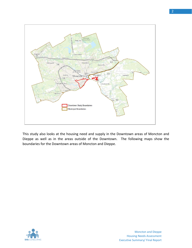

This study also looks at the housing need and supply in the Downtown areas of Moncton and Dieppe as well as in the areas outside of the Downtown. The following maps show the boundaries for the Downtown areas of Moncton and Dieppe.

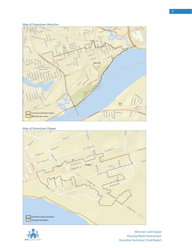#### *Map of Downtown Moncton*



#### *Map of Downtown Dieppe*





Moncton and Dieppe Housing Needs Assessment Executive Summary/ Final Report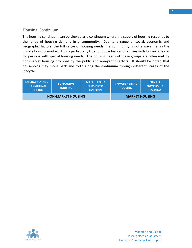## Housing Continuum

The housing continuum can be viewed as a continuum where the supply of housing responds to the range of housing demand in a community. Due to a range of social, economic and geographic factors, the full range of housing needs in a community is not always met in the private housing market. This is particularly true for individuals and families with low incomes or for persons with special housing needs. The housing needs of these groups are often met by non-market housing provided by the public and non-profit sectors. It should be noted that households may move back and forth along the continuum through different stages of the lifecycle.

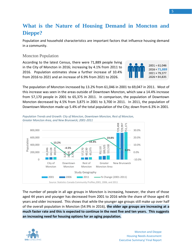# <span id="page-8-0"></span>**What is the Nature of Housing Demand in Moncton and Dieppe?**

Population and household characteristics are important factors that influence housing demand in a community.

#### Moncton Population

According to the latest Census, there were 71,889 people living in the City of Moncton in 2016; increasing by 4.1% from 2011 to 2016. Population estimates show a further increase of 10.4% from 2016 to 2021 and an increase of 6.9% from 2021 to 2026.



The population of Moncton increased by 13.2% from 61,046 in 2001 to 69,047 in 2011. Most of this increase was seen in the areas outside of Downtown Moncton, which saw a 14.4% increase from 57,170 people in 2001 to 65,375 in 2011. In comparison, the population of Downtown Moncton decreased by 4.5% from 3,875 in 2001 to 3,700 in 2011. In 2011, the population of Downtown Moncton made up 5.4% of the total population of the City; down from 6.3% in 2001.



*Population Trends and Growth: City of Moncton, Downtown Moncton, Rest of Moncton, Greater Moncton Area, and New Brunswick; 2001-2011*

The number of people in all age groups in Moncton is increasing, however, the share of those aged 44 years and younger has decreased from 2001 to 2016 while the share of those aged 45 years and older increased. This shows that while the younger age groups still make up over half of the overall population in Moncton (54.9% in 2016), **the older age groups are increasing at a much faster rate and this is expected to continue in the next five and ten years. This suggests** 

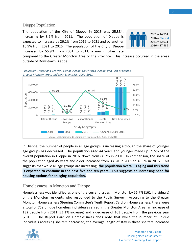The population of the City of Dieppe in 2016 was 25,384; increasing by 8.9% from 2011. The population of Dieppe is expected to increase by 26.2% from 2016 to 2021 and by another 16.9% from 2021 to 2026. The population of the City of Dieppe increased by 55.9% from 2001 to 2011, a much higher rate



compared to the Greater Moncton Area or the Province. This increase occurred in the areas outside of Downtown Dieppe.



*Population Trends and Growth: City of Dieppe, Downtown Dieppe, and Rest of Dieppe, Greater Moncton Area, and New Brunswick; 2001-2011*

In Dieppe, the number of people in all age groups is increasing although the share of younger age groups has decreased. The population aged 44 years and younger made up 59.5% of the overall population in Dieppe in 2016, down from 66.7% in 2001. In comparison, the share of the population aged 45 years and older increased from 33.3% in 2001 to 40.5% in 2016. This suggests that while all age groups are increasing, **the population overall is aging and this trend is expected to continue in the next five and ten years. This suggests an increasing need for housing options for an aging population.**

#### Homelessness in Moncton and Dieppe

Homelessness was identified as one of the current issues in Moncton by 56.7% (161 individuals) of the Moncton residents who responded to the Public Survey. According to the Greater Moncton Homelessness Steering Committee's Tenth Report Card on Homelessness, there were a total of 759 unique homeless individuals served in the Greater Moncton Area, an increase of 132 people from 2011 (21.1% increase) and a decrease of 103 people from the previous year (2015). The Report Card on Homelessness does note that while the number of unique

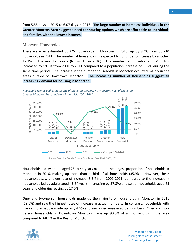from 5.55 days in 2015 to 6.07 days in 2016. **The large number of homeless individuals in the Greater Moncton Area suggest a need for housing options which are affordable to individuals and families with the lowest incomes.**

#### Moncton Households

There were an estimated 33,275 households in Moncton in 2016, up by 8.4% from 30,710 households in 2011. The number of households is expected to continue to increase by another 17.2% in the next ten years (to 39,013 in 2026). The number of households in Moncton increased by 19.1% from 2001 to 2011 compared to a population increase of 13.2% during the same time period. The increase in the number households in Moncton occurred mainly in the areas outside of Downtown Moncton. **The increasing number of households suggest an increasing demand for housing in Moncton.**



*Household Trends and Growth: City of Moncton, Downtown Moncton, Rest of Moncton, Greater Moncton Area, and New Brunswick; 2001-2011*

Households led by adults aged 25 to 44 years made up the largest proportion of households in Moncton in 2016, making up more than a third of all households (35.9%). However, these households saw a lower rate of increase (8.5% from 2001-2011) compared to the increase in households led by adults aged 45-64 years (increasing by 37.3%) and senior households aged 65 years and older (increasing by 17.0%).

One- and two-person households made up the majority of households in Moncton in 2011 (69.6%) and saw the highest rates of increase in actual numbers. In contrast, households with five or more people made up only 4.5% and saw a decrease in actual numbers. One- and twoperson households in Downtown Moncton made up 90.0% of all households in the area

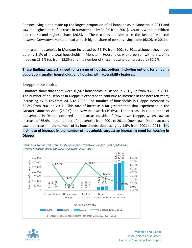Persons living alone made up the largest proportion of all households in Moncton in 2011 and saw the highest rate of increase in numbers (up by 34.0% from 2001). Couples without children had the second highest share (26.5%). These trends are similar in the Rest of Moncton however Downtown Moncton had a much higher share of persons living alone (62.0% in 2011).

Immigrant households in Moncton increased by 62.4% from 2001 to 2011 although they made up only 5.1% of the total households in Moncton. Households with a person with a disability made up 13.6% (up from 12.3%) and the number of these households increased by 31.7%.

#### **These findings suggest a need for a range of housing options, including options for an aging population, smaller households, and housing with accessibility features.**

#### Dieppe Households

Estimates show that there were 10,967 households in Dieppe in 2016, up from 9,280 in 2011. The number of households in Dieppe is expected to continue to increase in the next ten years; increasing by 39.0% from 2016 to 2026. The number of households in Dieppe increased by 62.8% from 2001 to 2011. This rate of increase is far greater than that experienced in the Greater Moncton Area (26.2%) and New Brunswick (10.6%). The increase in the number of households in Dieppe occurred in the areas outside of Downtown Dieppe, which saw an increase of 66.9% in the number of households from 2001 to 2011. Downtown Dieppe actually saw a decrease in the number of its households; decreasing by 1.5% from 2001 to 2011. **The high rate of increase in the number of households suggest an increasing need for housing in Dieppe.**





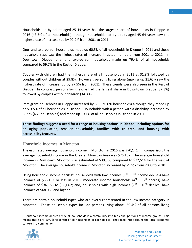Households led by adults aged 25-44 years had the largest share of households in Dieppe in 2016 (43.3% of all households) although households led by adults aged 45-64 years saw the highest rate of increase (up by 92.9% from 2001 to 2011).

One- and two-person households made up 60.5% of all households in Dieppe in 2011 and these household sizes saw the highest rates of increase in actual numbers from 2001 to 2011. In Downtown Dieppe, one- and two-person households made up 79.4% of all households compared to 59.7% in the Rest of Dieppe.

Couples with children had the highest share of all households in 2011 at 31.8% followed by couples without children at 29.8%. However, persons living alone (making up 21.6%) saw the highest rate of increase (up by 97.5% from 2001). These trends were also seen in the Rest of Dieppe. In contrast, persons living alone had the largest share in Downtown Dieppe (37.3%) followed by couples without children (34.3%).

Immigrant households in Dieppe increased by 533.3% (70 households) although they made up only 3.5% of all households in Dieppe. Households with a person with a disability increased by 98.9% (465 households) and made up 10.1% of all households in Dieppe in 2011.

**These findings suggest a need for a range of housing options in Dieppe, including options for an aging population, smaller households, families with children, and housing with accessibility features.**

#### Household Incomes in Moncton

The estimated average household income in Moncton in 2016 was \$70,141. In comparison, the average household income in the Greater Moncton Area was \$76,137. The average household income in Downtown Moncton was estimated at \$39,308 compared to \$72,514 for the Rest of Moncton. The average household income in Moncton increased by 29.5% from 2000 to 2010.

Using household income deciles<sup>1</sup>, households with low incomes  $(1<sup>st</sup> - 3<sup>rd</sup>$  income deciles) have incomes of \$36,152 or less in 2016; moderate income households (4<sup>th</sup> – 6<sup>th</sup> deciles) have incomes of \$36,153 to \$68,062; and, households with high incomes (7<sup>th</sup> – 10<sup>th</sup> deciles) have incomes of \$68,063 and higher.

There are certain household types who are overly represented in the low income category in Moncton. These household types include persons living alone (59.4% of all persons living

 $<sup>1</sup>$  Household income deciles divide all households in a community into ten equal portions of income groups. This</sup> means there are 10% (one tenth) of all households in each decile. They take into account the local economic context in a community.



 $\overline{a}$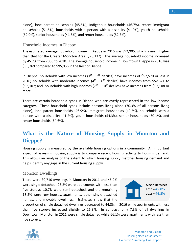alone), lone parent households (45.5%), Indigenous households (46.7%), recent immigrant households (51.5%), households with a person with a disability (41.0%), youth households (52.0%), senior households (41.8%), and renter households (52.3%).

#### Household Incomes in Dieppe

The estimated average household income in Dieppe in 2016 was \$92,905, which is much higher than that for the Greater Moncton Area (\$76,137). The average household income increased by 45.7% from 2000 to 2010. The average household income in Downtown Dieppe in 2016 was \$35,769 compared to \$95,056 in the Rest of Dieppe.

In Dieppe, households with low incomes  $(1<sup>st</sup> - 3<sup>rd</sup>$  deciles) have incomes of \$52,570 or less in 2016; households with moderate incomes  $(4^{th} - 6^{th}$  deciles) have incomes from \$52,571 to \$93,107; and, households with high incomes ( $7^{\text{th}}$  – 10<sup>th</sup> deciles) have incomes from \$93,108 or more.

There are certain household types in Dieppe who are overly represented in the low income category. These household types include persons living alone (70.3% of all persons living alone), lone parent households (46.9%), immigrant households (49.2%), households with a person with a disability (41.2%), youth households (54.3%), senior households (60.1%), and renter households (64.6%).

## <span id="page-13-0"></span>**What is the Nature of Housing Supply in Moncton and Dieppe?**

Housing supply is measured by the available housing options in a community. An important aspect of assessing housing supply is to compare recent housing activity to housing demand. This allows an analysis of the extent to which housing supply matches housing demand and helps identify any gaps in the current housing supply.

#### Moncton Dwellings

There were 30,710 dwellings in Moncton in 2011 and 45.0% were single detached, 26.2% were apartments with less than five storeys, 10.7% were semi-detached, and the remaining 18.2% were row houses, apartments, other single attached homes, and movable dwellings. Estimates show that the



proportion of single detached dwellings decreased to 44.8% in 2016 while apartments with less than five storeys increased slightly to 26.8%. In contrast, only 7.3% of all dwellings in Downtown Moncton in 2011 were single detached while 66.1% were apartments with less than five storeys.

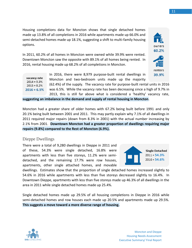Housing completions data for Moncton shows that single detached homes made up 13.8% of all completions in 2016 while apartments made up 66.0% and semi-detached homes made up 18.1%, suggesting a shift to multi-family housing options.

In 2011, 60.2% of all homes in Moncton were owned while 39.9% were rented. Downtown Moncton saw the opposite with 89.1% of all homes being rented. In 2016, rental housing made up 68.2% of all completions in Moncton.

In 2016, there were 8,979 purpose-built rental dwellings in vacancy rate Moncton and two-bedroom units made up the majority  $2014 = 9.3%$ 

(62.4%) of the supply. The vacancy rate for purpose-built rental units in 2016  $2015 = 8.2%$  $2016 = 6.5%$ was 6.5%. While the vacancy rate has been decreasing since a high of 9.7% in 2013, this is still far above what is considered a 'healthy' vacancy rate,

**suggesting an imbalance in the demand and supply of rental housing in Moncton**.

Moncton had a greater share of older homes with 67.2% being built before 1991 and only 20.1% being built between 2001 and 2011. This may partly explain why 7.1% of all dwellings in 2011 required major repairs (down from 8.3% in 2001) with the actual number increasing by 2.1% from 2001. **Downtown Moncton had a greater proportion of dwellings requiring major repairs (9.8%) compared to the Rest of Moncton (6.9%).**

#### Dieppe Dwellings

There were a total of 9,280 dwellings in Dieppe in 2011 and of these, 54.3% were single detached, 16.8% were apartments with less than five storeys, 11.2% were semidetached, and the remaining 17.7% were row houses, apartments, other single attached homes, and movable

dwellings. Estimates show that the proportion of single detached homes increased slightly to 54.6% in 2016 while apartments with less than five storeys decreased slightly to 16.4%. In Downtown Dieppe, apartments with less than five storeys made up 46.3% of all dwellings in the area in 2011 while single detached homes made up 25.4%.

Single detached homes made up 29.5% of all housing completions in Dieppe in 2016 while semi-detached homes and row houses each made up 20.5% and apartments made up 29.5%. **This suggests a move toward a more diverse range of housing.**





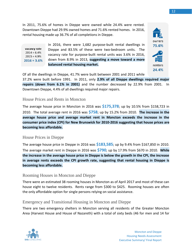In 2011, 75.6% of homes in Dieppe were owned while 24.4% were rented. Downtown Dieppe had 29.9% owned homes and 71.6% rented homes. In 2016, rental housing made up 36.7% of all completions in Dieppe.



In 2016, there were 1,682 purpose-built rental dwellings in vacancy rate Dieppe and 83.5% of these were two-bedroom units. The  $2014 = 6.4%$ vacancy rate for purpose-built rental units was 3.6% in 2016,  $2015 = 4.9%$ down from 8.9% in 2013, **suggesting a move toward a more**   $2016 = 3.6%$ **balanced rental housing market.**

Of all the dwellings in Dieppe, 41.7% were built between 2001 and 2011 while 37.2% were built before 1991. In 2011, only **2.9% of all Dieppe dwellings required major repairs (down from 6.1% in 2001)** and the number decreased by 22.9% from 2001. In Downtown Dieppe, 4.4% of all dwellings required major repairs.

#### House Prices and Rents in Moncton

The average house price in Moncton in 2016 was **\$175,378**; up by 10.5% from \$158,723 in 2010. The total average rent in 2016 was **\$758**; up by 15.2% from 2010. **The increase in the average house price and average market rent in Moncton exceeds the increase in the consumer price index (CPI) for New Brunswick for 2010-2016 suggesting that house prices are becoming less affordable.**

#### House Prices in Dieppe

The average house price in Dieppe in 2016 was **\$183,585**; up by 9.4% from \$167,850 in 2010. The average market rent in Dieppe in 2016 was **\$790**; up by 17.9% from \$670 in 2010. **While the increase in the average house price in Dieppe is below the growth in the CPI, the increase in average rents exceeds the CPI growth rate, suggesting that rental housing in Dieppe is becoming less affordable.**

#### Rooming Houses in Moncton and Dieppe

There were an estimated 38 rooming houses in Moncton as of April 2017 and most of these can house eight to twelve residents. Rents range from \$300 to \$425. Rooming houses are often the only affordable option for single persons relying on social assistance.

#### Emergency and Transitional Housing in Moncton and Dieppe

There are two emergency shelters in Moncton serving all residents of the Greater Moncton Area (Harvest House and House of Nazareth) with a total of sixty beds (46 for men and 14 for

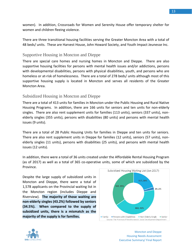women). In addition, Crossroads for Women and Serenity House offer temporary shelter for women and children fleeing violence.

There are three transitional housing facilities serving the Greater Moncton Area with a total of 48 beds/ units. These are Harvest House, John Howard Society, and Youth Impact Jeunesse Inc.

#### Supportive Housing in Moncton and Dieppe

There are special care homes and nursing homes in Moncton and Dieppe. There are also supportive housing facilities for persons with mental health issues and/or addictions, persons with developmental disabilities, persons with physical disabilities, youth, and persons who are homeless or at-risk of homelessness. There are a total of 278 beds/ units although most of this supportive housing supply is located in Moncton and serves all residents of the Greater Moncton Area.

## Subsidized Housing in Moncton and Dieppe

There are a total of 413 units for families in Moncton under the Public Housing and Rural Native Housing Programs. In addition, there are 166 units for seniors and ten units for non-elderly singles. There are also rent supplement units for families (113 units), seniors (337 units), nonelderly singles (355 units), persons with disabilities (80 units) and persons with mental health issues (9 units).

There are a total of 28 Public Housing Units for families in Dieppe and ten units for seniors. There are also rent supplement units in Dieppe for families (12 units), seniors (57 units), nonelderly singles (11 units), persons with disabilities (25 units), and persons with mental health issues (12 units).

In addition, there were a total of 36 units created under the Affordable Rental Housing Program (as of 2017) as well as a total of 365 co-operative units, some of which are subsidized by the Province.

Despite the large supply of subsidized units in Moncton and Dieppe, there were a total of 1,578 applicants on the Provincial waiting list in the Moncton region (includes Dieppe and Riverview). **The majority of those waiting are non-elderly singles (43.2%) followed by seniors (34.5%). When compared to the supply of subsidized units, there is a mismatch as the majority of the supply is for families.**





Moncton and Dieppe Housing Needs Assessment Executive Summary/ Final Report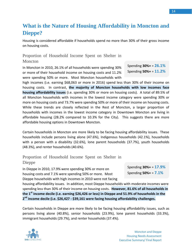# <span id="page-17-0"></span>**What is the Nature of Housing Affordability in Moncton and Dieppe?**

Housing is considered affordable if households spend no more than 30% of their gross income on housing costs.

## Proportion of Household Income Spent on Shelter in Moncton

In Moncton in 2010, 26.1% of all households were spending 30% or more of their household income on housing costs and 11.2% were spending 50% or more. Most Moncton households with Spending **30%+** = **26.1%** Spending **50%+** = **11.2%**

high incomes (i.e. earning \$68,063 or more in 2016) spend less than 30% of their income on housing costs. In contrast, **the majority of Moncton households with low incomes face housing affordability issues** (i.e. spending 30% or more on housing costs). A total of 89.5% of all Moncton households with incomes in the lowest income category were spending 30% or more on housing costs and 73.7% were spending 50% or more of their income on housing costs. While these trends are closely reflected in the Rest of Moncton, a larger proportion of households with incomes in the lowest income category in Downtown Moncton are living in affordable housing (28.2% compared to 10.3% for the City). This suggests there are more affordable housing options in Downtown Moncton.

Certain households in Moncton are more likely to be facing housing affordability issues. These households include persons living alone (47.6%), Indigenous households (42.1%), households with a person with a disability (32.6%), lone parent households (37.7%), youth households (48.3%), and renter households (40.6%).

Proportion of Household Income Spent on Shelter in Dieppe

In Dieppe in 2010, 17.9% were spending 30% or more on housing costs and 7.1% were spending 50% or more. Most Dieppe households with high incomes in 2010 were not facing Spending **30%+** = **17.9%** Spending **50%+** = **7.1%**

housing affordability issues. In addition, most Dieppe households with moderate incomes were spending less than 30% of their income on housing costs. **However, 81.6% of all households in the 1 st income decile (i.e. earning \$26,426 or less) in Dieppe and 51.9% of households in the 2 nd income decile (i.e. \$26,427 - \$39,161 were facing housing affordability challenges.**

Certain households in Dieppe are more likely to be facing housing affordability issues, such as persons living alone (40.8%), senior households (23.9%), lone parent households (33.3%), immigrant households (29.7%), and renter households (37.4%).

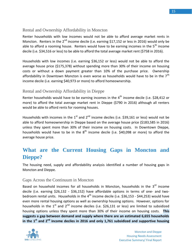#### Rental and Ownership Affordability in Moncton

Renter households with low incomes would not be able to afford average market rents in Moncton. Renters in the  $2^{nd}$  income decile (i.e. earning \$17,152 or less in 2016) would only be able to afford a rooming house. Renters would have to be earning incomes in the  $5<sup>th</sup>$  income decile (i.e. \$34,516 or less) to be able to afford the total average market rent (\$758 in 2016).

Households with low incomes (i.e. earning \$36,152 or less) would not be able to afford the average house price (\$175,378) without spending more than 30% of their income on housing costs or without a down payment greater than 10% of the purchase price. Ownership affordability in Downtown Moncton is even worse as households would have to be in the  $7<sup>th</sup>$ income decile (i.e. earning \$40,973 or more) to afford homeownership.

## Rental and Ownership Affordability in Dieppe

Renter households would have to be earning incomes in the  $4<sup>th</sup>$  income decile (i.e. \$28,412 or more) to afford the total average market rent in Dieppe (\$790 in 2016) although all renters would be able to afford rents for rooming houses.

Households with incomes in the  $1<sup>st</sup>$  and  $2<sup>nd</sup>$  income deciles (i.e. \$39,161 or less) would not be able to afford homeownership in Dieppe based on the average house price (\$183,585 in 2016) unless they spent more than 30% of their income on housing costs. In Downtown Dieppe, households would have to be in the  $8<sup>th</sup>$  income decile (i.e. \$40,098 or more) to afford the average house price.

## <span id="page-18-0"></span>**What are the Current Housing Gaps in Moncton and Dieppe?**

The housing need, supply and affordability analysis identified a number of housing gaps in Moncton and Dieppe.

#### Gaps Across the Continuum in Moncton

Based on household incomes for all households in Moncton, households in the 3<sup>rd</sup> income decile (i.e. earning \$26,132 - \$36,152) have affordable options in terms of one- and twobedroom rental units. Households in the  $4<sup>th</sup>$  income decile (i.e. \$36,153 - \$44,253) would have even more rental housing options as well as ownership housing options. However, options for households in the  $1<sup>st</sup>$  and  $2<sup>nd</sup>$  income deciles (i.e. \$26,131 or less) are limited to subsidized housing options unless they spent more than 30% of their income on housing costs. **This suggests a gap between demand and supply where there are an estimated 6,655 households in the 1st and 2nd income deciles in 2016 and only 1,761 subsidized and supportive housing** 

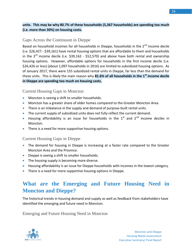#### **units. This may be why 80.7% of these households (5,367 households) are spending too much (i.e. more than 30%) on housing costs.**

#### Gaps Across the Continuum in Dieppe

Based on household incomes for all households in Dieppe, households in the 2<sup>nd</sup> income decile (i.e. \$26,427 - \$39,161) have rental housing options that are affordable to them and households in the  $3<sup>rd</sup>$  income decile (i.e. \$39,162 - \$52,570) and above have both rental and ownership housing options. However, affordable options for households in the first income decile (i.e. \$26,426 or less) (about 1,097 households in 2016) are limited to subsidized housing options. As of January 2017, there were 155 subsidized rental units in Dieppe, far less than the demand for these units. This is likely the main reason why **81.6% of all households in the 1st income decile in Dieppe are spending too much on housing costs.**

#### Current Housing Gaps in Moncton

- **•** Moncton is seeing a shift to smaller households.
- **Moncton has a greater share of older homes compared to the Greater Moncton Area.**
- There is an imbalance in the supply and demand of purpose-built rental units.
- The current supply of subsidized units does not fully reflect the current demand.
- Housing affordability is an issue for households in the  $1<sup>st</sup>$  and  $2<sup>nd</sup>$  income deciles in Moncton.
- There is a need for more supportive housing options.

#### Current Housing Gaps in Dieppe

- The demand for housing in Dieppe is increasing at a faster rate compared to the Greater Moncton Area and the Province.
- Dieppe is seeing a shift to smaller households.
- The housing supply is becoming more diverse.
- Housing affordability is an issue for Dieppe households with incomes in the lowest category.
- There is a need for more supportive housing options in Dieppe.

# <span id="page-19-0"></span>**What are the Emerging and Future Housing Need in Moncton and Dieppe?**

The historical trends in housing demand and supply as well as feedback from stakeholders have identified the emerging and future need in Moncton.

Emerging and Future Housing Need in Moncton

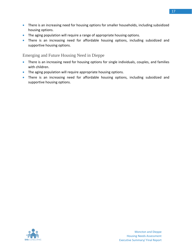- There is an increasing need for housing options for smaller households, including subsidized housing options.
- The aging population will require a range of appropriate housing options.
- There is an increasing need for affordable housing options, including subsidized and supportive housing options.

Emerging and Future Housing Need in Dieppe

- There is an increasing need for housing options for single individuals, couples, and families with children.
- The aging population will require appropriate housing options.
- There is an increasing need for affordable housing options, including subsidized and supportive housing options.